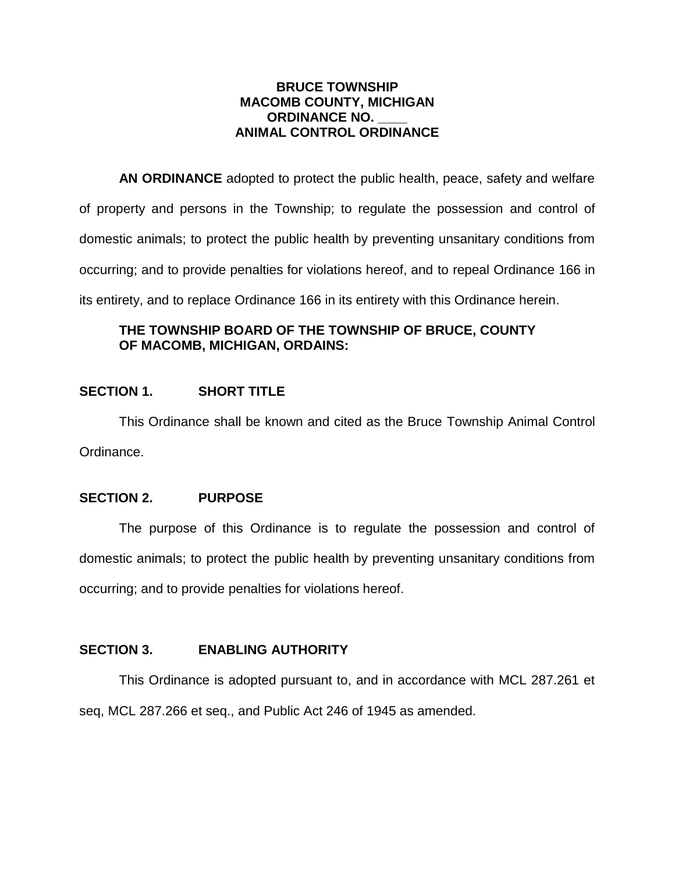### **BRUCE TOWNSHIP MACOMB COUNTY, MICHIGAN ORDINANCE NO. \_\_\_\_ ANIMAL CONTROL ORDINANCE**

**AN ORDINANCE** adopted to protect the public health, peace, safety and welfare of property and persons in the Township; to regulate the possession and control of domestic animals; to protect the public health by preventing unsanitary conditions from occurring; and to provide penalties for violations hereof, and to repeal Ordinance 166 in its entirety, and to replace Ordinance 166 in its entirety with this Ordinance herein.

# **THE TOWNSHIP BOARD OF THE TOWNSHIP OF BRUCE, COUNTY OF MACOMB, MICHIGAN, ORDAINS:**

# **SECTION 1. SHORT TITLE**

This Ordinance shall be known and cited as the Bruce Township Animal Control Ordinance.

## **SECTION 2. PURPOSE**

The purpose of this Ordinance is to regulate the possession and control of domestic animals; to protect the public health by preventing unsanitary conditions from occurring; and to provide penalties for violations hereof.

## **SECTION 3. ENABLING AUTHORITY**

This Ordinance is adopted pursuant to, and in accordance with MCL 287.261 et seq, MCL 287.266 et seq., and Public Act 246 of 1945 as amended.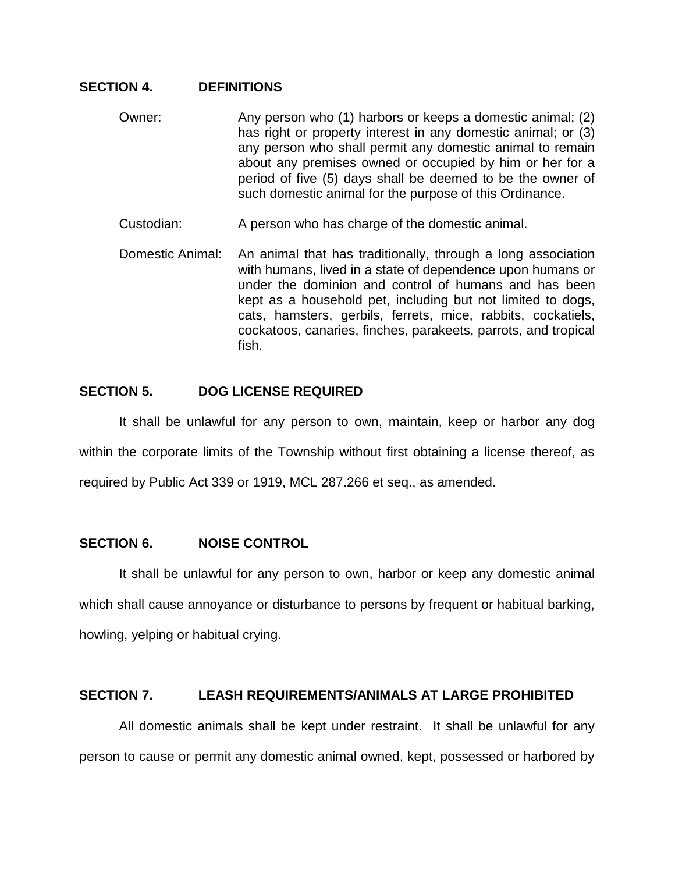### **SECTION 4. DEFINITIONS**

- Owner: Any person who (1) harbors or keeps a domestic animal; (2) has right or property interest in any domestic animal; or (3) any person who shall permit any domestic animal to remain about any premises owned or occupied by him or her for a period of five (5) days shall be deemed to be the owner of such domestic animal for the purpose of this Ordinance.
- Custodian: A person who has charge of the domestic animal.
- Domestic Animal: An animal that has traditionally, through a long association with humans, lived in a state of dependence upon humans or under the dominion and control of humans and has been kept as a household pet, including but not limited to dogs, cats, hamsters, gerbils, ferrets, mice, rabbits, cockatiels, cockatoos, canaries, finches, parakeets, parrots, and tropical fish.

## **SECTION 5. DOG LICENSE REQUIRED**

It shall be unlawful for any person to own, maintain, keep or harbor any dog within the corporate limits of the Township without first obtaining a license thereof, as required by Public Act 339 or 1919, MCL 287.266 et seq., as amended.

## **SECTION 6. NOISE CONTROL**

It shall be unlawful for any person to own, harbor or keep any domestic animal which shall cause annoyance or disturbance to persons by frequent or habitual barking, howling, yelping or habitual crying.

## **SECTION 7. LEASH REQUIREMENTS/ANIMALS AT LARGE PROHIBITED**

All domestic animals shall be kept under restraint. It shall be unlawful for any person to cause or permit any domestic animal owned, kept, possessed or harbored by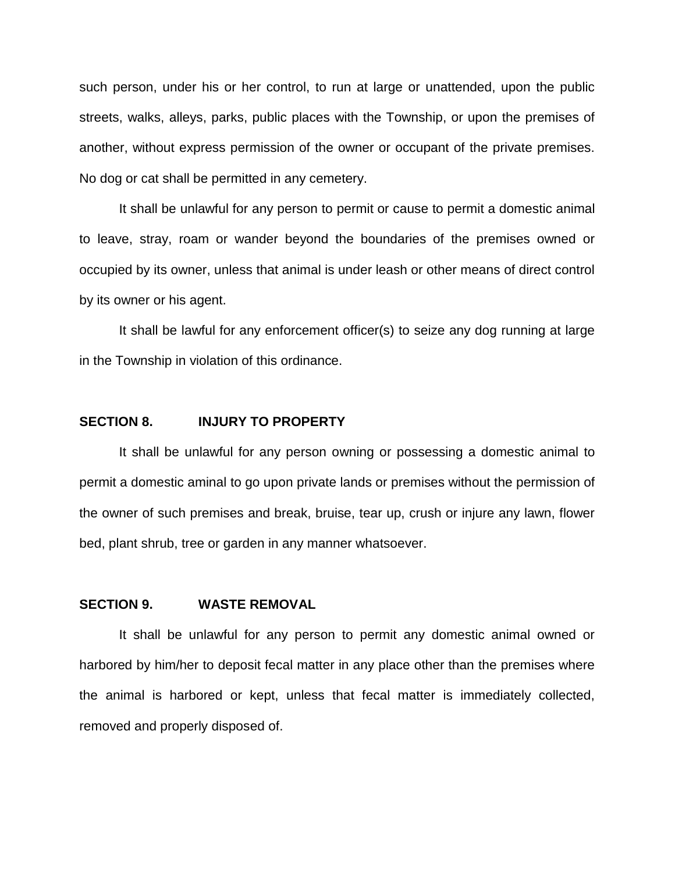such person, under his or her control, to run at large or unattended, upon the public streets, walks, alleys, parks, public places with the Township, or upon the premises of another, without express permission of the owner or occupant of the private premises. No dog or cat shall be permitted in any cemetery.

It shall be unlawful for any person to permit or cause to permit a domestic animal to leave, stray, roam or wander beyond the boundaries of the premises owned or occupied by its owner, unless that animal is under leash or other means of direct control by its owner or his agent.

It shall be lawful for any enforcement officer(s) to seize any dog running at large in the Township in violation of this ordinance.

#### **SECTION 8. INJURY TO PROPERTY**

It shall be unlawful for any person owning or possessing a domestic animal to permit a domestic aminal to go upon private lands or premises without the permission of the owner of such premises and break, bruise, tear up, crush or injure any lawn, flower bed, plant shrub, tree or garden in any manner whatsoever.

#### **SECTION 9. WASTE REMOVAL**

It shall be unlawful for any person to permit any domestic animal owned or harbored by him/her to deposit fecal matter in any place other than the premises where the animal is harbored or kept, unless that fecal matter is immediately collected, removed and properly disposed of.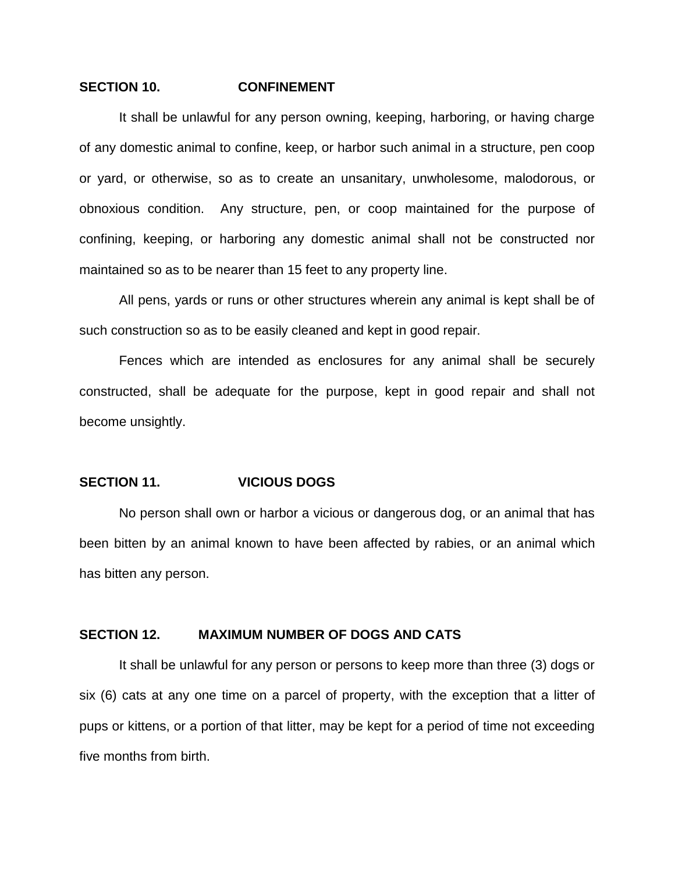#### **SECTION 10. CONFINEMENT**

It shall be unlawful for any person owning, keeping, harboring, or having charge of any domestic animal to confine, keep, or harbor such animal in a structure, pen coop or yard, or otherwise, so as to create an unsanitary, unwholesome, malodorous, or obnoxious condition. Any structure, pen, or coop maintained for the purpose of confining, keeping, or harboring any domestic animal shall not be constructed nor maintained so as to be nearer than 15 feet to any property line.

All pens, yards or runs or other structures wherein any animal is kept shall be of such construction so as to be easily cleaned and kept in good repair.

Fences which are intended as enclosures for any animal shall be securely constructed, shall be adequate for the purpose, kept in good repair and shall not become unsightly.

#### **SECTION 11. VICIOUS DOGS**

No person shall own or harbor a vicious or dangerous dog, or an animal that has been bitten by an animal known to have been affected by rabies, or an animal which has bitten any person.

#### **SECTION 12. MAXIMUM NUMBER OF DOGS AND CATS**

It shall be unlawful for any person or persons to keep more than three (3) dogs or six (6) cats at any one time on a parcel of property, with the exception that a litter of pups or kittens, or a portion of that litter, may be kept for a period of time not exceeding five months from birth.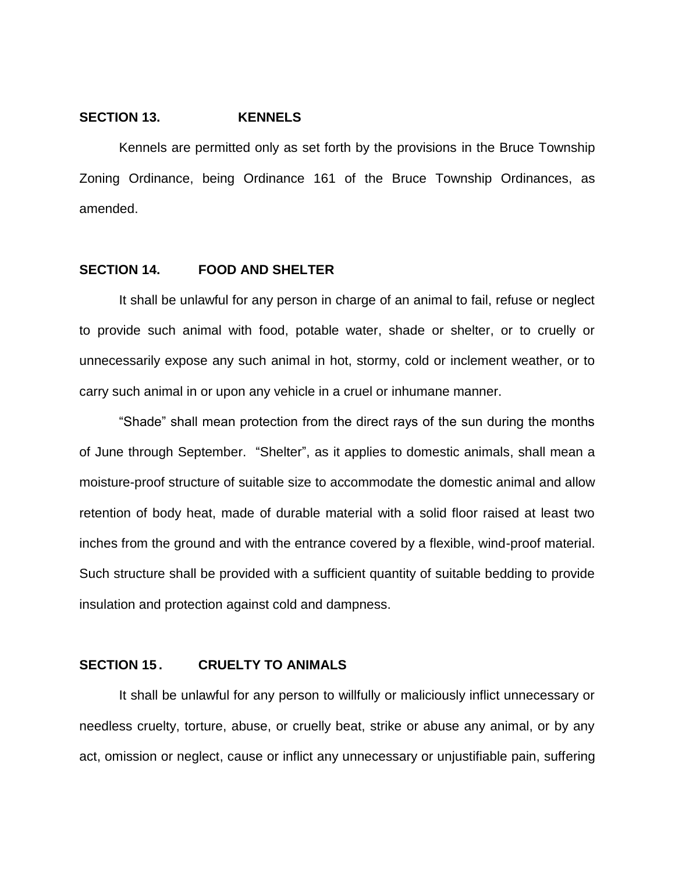#### **SECTION 13. KENNELS**

Kennels are permitted only as set forth by the provisions in the Bruce Township Zoning Ordinance, being Ordinance 161 of the Bruce Township Ordinances, as amended.

### **SECTION 14. FOOD AND SHELTER**

It shall be unlawful for any person in charge of an animal to fail, refuse or neglect to provide such animal with food, potable water, shade or shelter, or to cruelly or unnecessarily expose any such animal in hot, stormy, cold or inclement weather, or to carry such animal in or upon any vehicle in a cruel or inhumane manner.

"Shade" shall mean protection from the direct rays of the sun during the months of June through September. "Shelter", as it applies to domestic animals, shall mean a moisture-proof structure of suitable size to accommodate the domestic animal and allow retention of body heat, made of durable material with a solid floor raised at least two inches from the ground and with the entrance covered by a flexible, wind-proof material. Such structure shall be provided with a sufficient quantity of suitable bedding to provide insulation and protection against cold and dampness.

#### **SECTION 15 . CRUELTY TO ANIMALS**

It shall be unlawful for any person to willfully or maliciously inflict unnecessary or needless cruelty, torture, abuse, or cruelly beat, strike or abuse any animal, or by any act, omission or neglect, cause or inflict any unnecessary or unjustifiable pain, suffering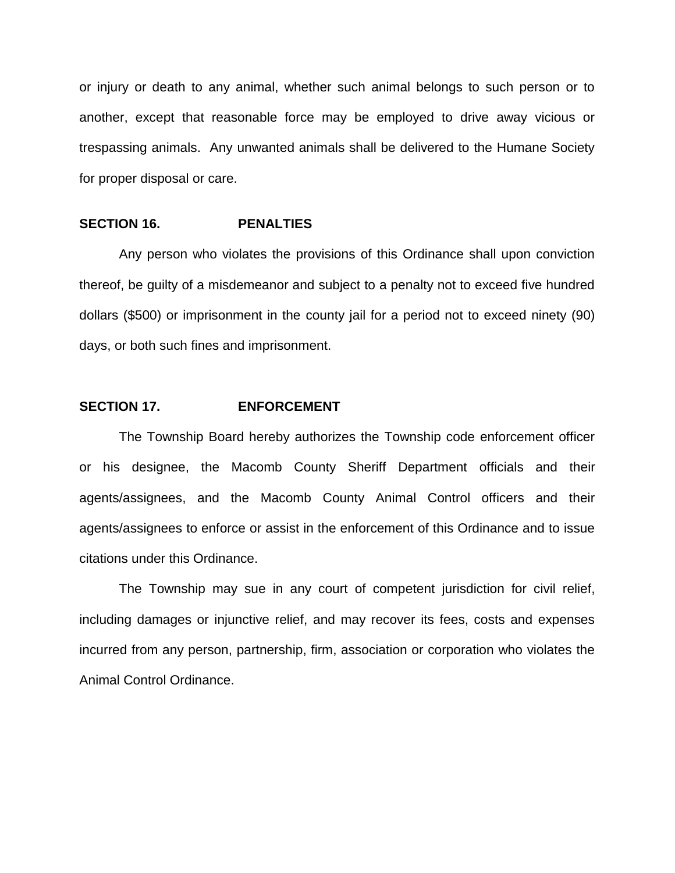or injury or death to any animal, whether such animal belongs to such person or to another, except that reasonable force may be employed to drive away vicious or trespassing animals. Any unwanted animals shall be delivered to the Humane Society for proper disposal or care.

#### **SECTION 16. PENALTIES**

Any person who violates the provisions of this Ordinance shall upon conviction thereof, be guilty of a misdemeanor and subject to a penalty not to exceed five hundred dollars (\$500) or imprisonment in the county jail for a period not to exceed ninety (90) days, or both such fines and imprisonment.

### **SECTION 17. ENFORCEMENT**

The Township Board hereby authorizes the Township code enforcement officer or his designee, the Macomb County Sheriff Department officials and their agents/assignees, and the Macomb County Animal Control officers and their agents/assignees to enforce or assist in the enforcement of this Ordinance and to issue citations under this Ordinance.

The Township may sue in any court of competent jurisdiction for civil relief, including damages or injunctive relief, and may recover its fees, costs and expenses incurred from any person, partnership, firm, association or corporation who violates the Animal Control Ordinance.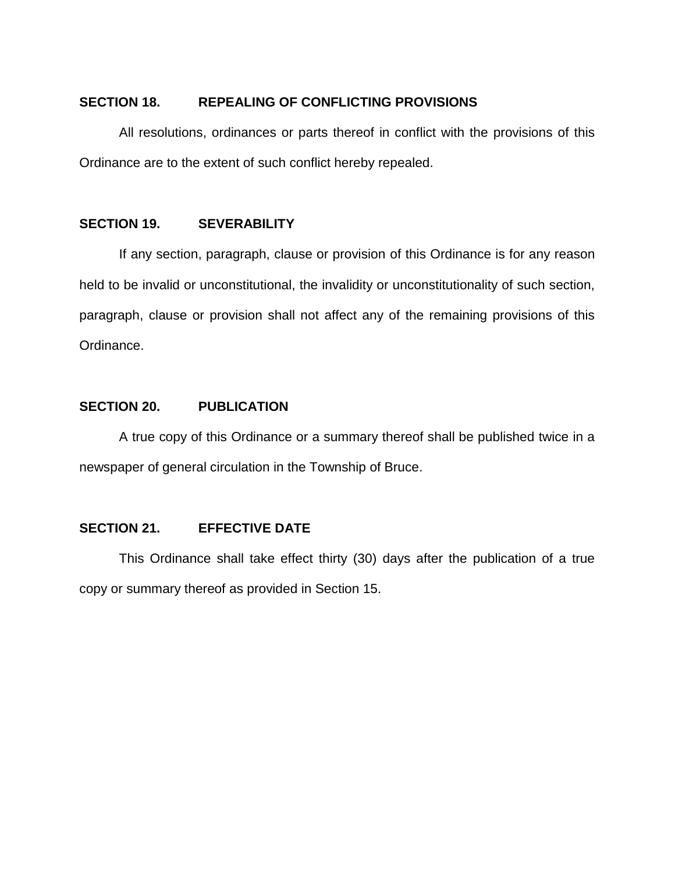### **SECTION 18. REPEALING OF CONFLICTING PROVISIONS**

All resolutions, ordinances or parts thereof in conflict with the provisions of this Ordinance are to the extent of such conflict hereby repealed.

### **SECTION 19. SEVERABILITY**

If any section, paragraph, clause or provision of this Ordinance is for any reason held to be invalid or unconstitutional, the invalidity or unconstitutionality of such section, paragraph, clause or provision shall not affect any of the remaining provisions of this Ordinance.

### **SECTION 20. PUBLICATION**

A true copy of this Ordinance or a summary thereof shall be published twice in a newspaper of general circulation in the Township of Bruce.

## **SECTION 21. EFFECTIVE DATE**

This Ordinance shall take effect thirty (30) days after the publication of a true copy or summary thereof as provided in Section 15.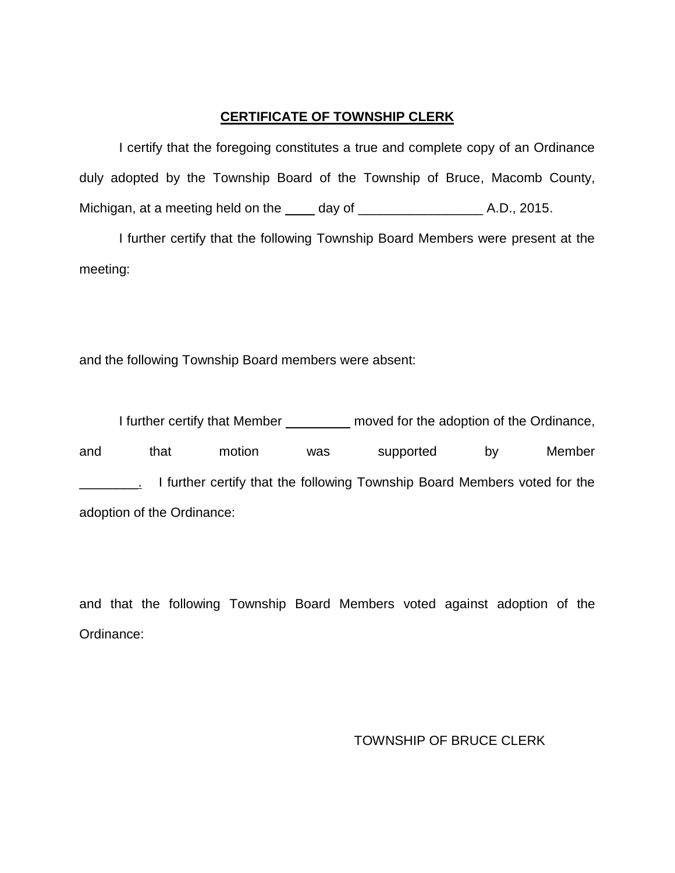# **CERTIFICATE OF TOWNSHIP CLERK**

I certify that the foregoing constitutes a true and complete copy of an Ordinance duly adopted by the Township Board of the Township of Bruce, Macomb County, Michigan, at a meeting held on the day of \_\_\_\_\_\_\_\_\_\_\_\_\_\_\_\_\_ A.D., 2015.

I further certify that the following Township Board Members were present at the meeting:

and the following Township Board members were absent:

I further certify that Member \_\_\_\_\_\_\_\_\_ moved for the adoption of the Ordinance, and that motion was supported by Member I further certify that the following Township Board Members voted for the adoption of the Ordinance:

and that the following Township Board Members voted against adoption of the Ordinance:

TOWNSHIP OF BRUCE CLERK